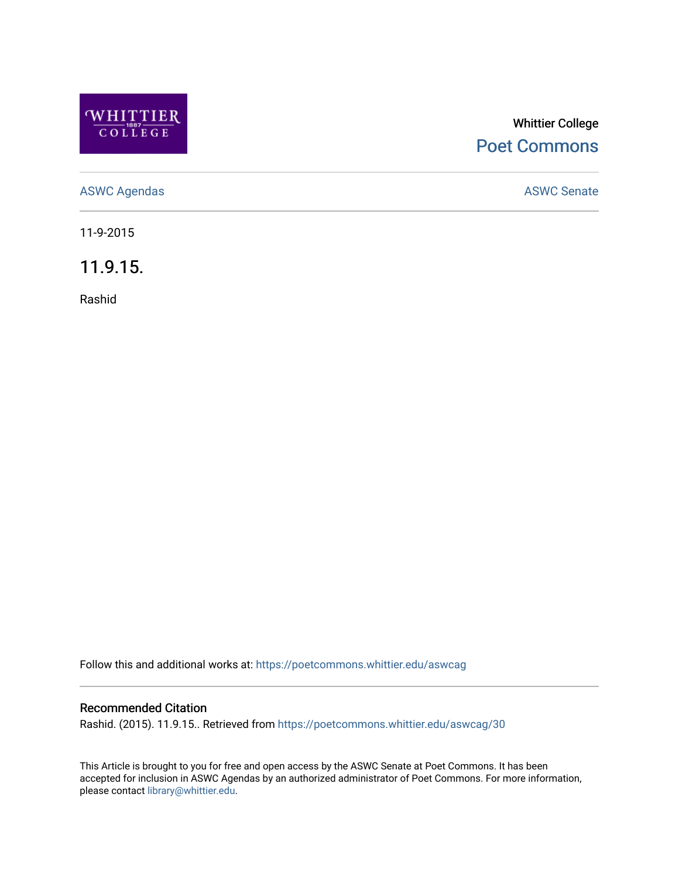

## Whittier College [Poet Commons](https://poetcommons.whittier.edu/)

[ASWC Agendas](https://poetcommons.whittier.edu/aswcag) **ASWC Senate** 

11-9-2015

11.9.15.

Rashid

Follow this and additional works at: [https://poetcommons.whittier.edu/aswcag](https://poetcommons.whittier.edu/aswcag?utm_source=poetcommons.whittier.edu%2Faswcag%2F30&utm_medium=PDF&utm_campaign=PDFCoverPages) 

## Recommended Citation

Rashid. (2015). 11.9.15.. Retrieved from [https://poetcommons.whittier.edu/aswcag/30](https://poetcommons.whittier.edu/aswcag/30?utm_source=poetcommons.whittier.edu%2Faswcag%2F30&utm_medium=PDF&utm_campaign=PDFCoverPages) 

This Article is brought to you for free and open access by the ASWC Senate at Poet Commons. It has been accepted for inclusion in ASWC Agendas by an authorized administrator of Poet Commons. For more information, please contact [library@whittier.edu](mailto:library@whittier.edu).